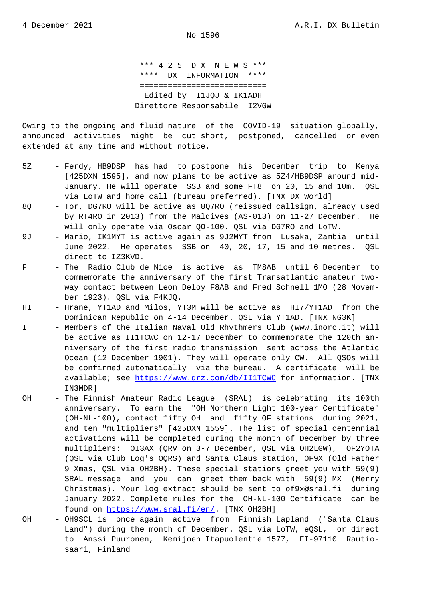=========================== \*\*\* 4 2 5 D X N E W S \*\*\* \*\*\*\* DX INFORMATION \*\*\*\* =========================== Edited by I1JQJ & IK1ADH Direttore Responsabile I2VGW

Owing to the ongoing and fluid nature of the COVID-19 situation globally, announced activities might be cut short, postponed, cancelled or even extended at any time and without notice.

- 5Z Ferdy, HB9DSP has had to postpone his December trip to Kenya [425DXN 1595], and now plans to be active as 5Z4/HB9DSP around mid- January. He will operate SSB and some FT8 on 20, 15 and 10m. QSL via LoTW and home call (bureau preferred). [TNX DX World]
- 8Q Tor, DG7RO will be active as 8Q7RO (reissued callsign, already used by RT4RO in 2013) from the Maldives (AS-013) on 11-27 December. He will only operate via Oscar QO-100. QSL via DG7RO and LoTW.
- 9J Mario, IK1MYT is active again as 9J2MYT from Lusaka, Zambia until June 2022. He operates SSB on 40, 20, 17, 15 and 10 metres. QSL direct to IZ3KVD.
- F The Radio Club de Nice is active as TM8AB until 6 December to commemorate the anniversary of the first Transatlantic amateur two way contact between Leon Deloy F8AB and Fred Schnell 1MO (28 Novem ber 1923). QSL via F4KJQ.
- HI Hrane, YT1AD and Milos, YT3M will be active as HI7/YT1AD from the Dominican Republic on 4-14 December. QSL via YT1AD. [TNX NG3K]
- I Members of the Italian Naval Old Rhythmers Club (www.inorc.it) will be active as II1TCWC on 12-17 December to commemorate the 120th an niversary of the first radio transmission sent across the Atlantic Ocean (12 December 1901). They will operate only CW. All QSOs will be confirmed automatically via the bureau. A certificate will be available; see https://www.qrz.com/db/II1TCWC for information. [TNX IN3MDR]
- OH The Finnish Amateur Radio League (SRAL) is celebrating its 100th anniversary. T[o earn the "OH Northern Light](https://www.qrz.com/db/II1TCWC) 100-year Certificate" (OH-NL-100), contact fifty OH and fifty OF stations during 2021, and ten "multipliers" [425DXN 1559]. The list of special centennial activations will be completed during the month of December by three multipliers: OI3AX (QRV on 3-7 December, QSL via OH2LGW), OF2YOTA (QSL via Club Log's OQRS) and Santa Claus station, OF9X (Old Father 9 Xmas, QSL via OH2BH). These special stations greet you with 59(9) SRAL message and you can greet them back with 59(9) MX (Merry Christmas). Your log extract should be sent to of9x@sral.fi during January 2022. Complete rules for the OH-NL-100 Certificate can be found on https://www.sral.fi/en/. [TNX OH2BH]
- OH OH9SCL is once again active from Finnish Lapland ("Santa Claus Land") during the month of December. QSL via LoTW, eQSL, or direct to Anssi [Puuronen, Kemijoen Ita](https://www.sral.fi/en/)puolentie 1577, FI-97110 Rautio saari, Finland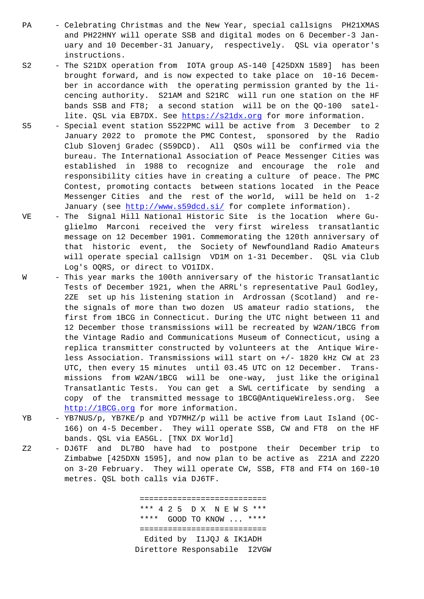and PH22HNY will operate SSB and digital modes on 6 December-3 Jan uary and 10 December-31 January, respectively. QSL via operator's instructions.

- S2 The S21DX operation from IOTA group AS-140 [425DXN 1589] has been brought forward, and is now expected to take place on 10-16 Decem ber in accordance with the operating permission granted by the li cencing authority. S21AM and S21RC will run one station on the HF bands SSB and FT8; a second station will be on the QO-100 satel lite. QSL via EB7DX. See https://s21dx.org for more information.
- S5 Special event station S522PMC will be active from 3 December to 2 January 2022 to promote the PMC Contest, sponsored by the Radio Club Slovenj Gradec (S59DCD). All QSOs will be confirmed via the bureau. The International [Association of Pe](https://s21dx.org)ace Messenger Cities was established in 1988 to recognize and encourage the role and responsibility cities have in creating a culture of peace. The PMC Contest, promoting contacts between stations located in the Peace Messenger Cities and the rest of the world, will be held on 1-2 January (see http://www.s59dcd.si/ for complete information).
- VE The Signal Hill National Historic Site is the location where Gu glielmo Marconi received the very first wireless transatlantic message on 1[2 December 1901. Commem](http://www.s59dcd.si/)orating the 120th anniversary of that historic event, the Society of Newfoundland Radio Amateurs will operate special callsign VD1M on 1-31 December. QSL via Club Log's OQRS, or direct to VO1IDX.
- W This year marks the 100th anniversary of the historic Transatlantic Tests of December 1921, when the ARRL's representative Paul Godley, 2ZE set up his listening station in Ardrossan (Scotland) and re the signals of more than two dozen US amateur radio stations, the first from 1BCG in Connecticut. During the UTC night between 11 and 12 December those transmissions will be recreated by W2AN/1BCG from the Vintage Radio and Communications Museum of Connecticut, using a replica transmitter constructed by volunteers at the Antique Wire less Association. Transmissions will start on +/- 1820 kHz CW at 23 UTC, then every 15 minutes until 03.45 UTC on 12 December. Trans missions from W2AN/1BCG will be one-way, just like the original Transatlantic Tests. You can get a SWL certificate by sending a copy of the transmitted message to 1BCG@AntiqueWireless.org. See http://1BCG.org for more information.
- YB YB7NUS/p, YB7KE/p and YD7MHZ/p will be active from Laut Island (OC- 166) on 4-5 December. They will operate SSB, CW and FT8 on the HF bands. QSL via EA5GL. [TNX DX World]
- Z2 [DJ6TF and DL7B](http://1BCG.org)O have had to postpone their December trip to Zimbabwe [425DXN 1595], and now plan to be active as Z21A and Z22O on 3-20 February. They will operate CW, SSB, FT8 and FT4 on 160-10 metres. QSL both calls via DJ6TF.

 =========================== \*\*\* 4 2 5 D X N E W S \*\*\* \*\*\*\* GOOD TO KNOW ... \*\*\*\* =========================== Edited by I1JQJ & IK1ADH Direttore Responsabile I2VGW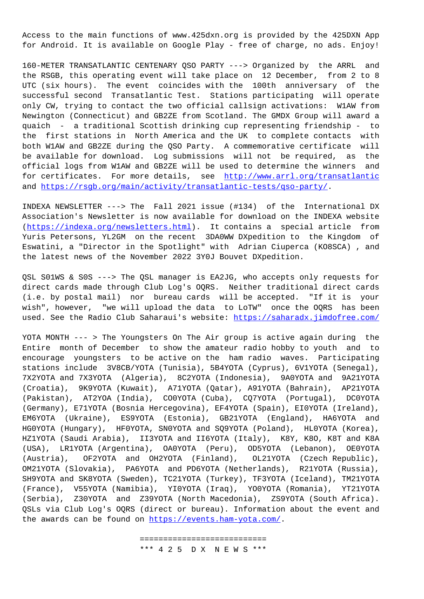Access to the main functions of www.425dxn.org is provided by the 425DXN App for Android. It is available on Google Play - free of charge, no ads. Enjoy!

160-METER TRANSATLANTIC CENTENARY QSO PARTY ---> Organized by the ARRL and the RSGB, this operating event will take place on 12 December, from 2 to 8 UTC (six hours). The event coincides with the 100th anniversary of the successful second Transatlantic Test. Stations participating will operate only CW, trying to contact the two official callsign activations: W1AW from Newington (Connecticut) and GB2ZE from Scotland. The GMDX Group will award a quaich - a traditional Scottish drinking cup representing friendship - to the first stations in North America and the UK to complete contacts with both W1AW and GB2ZE during the QSO Party. A commemorative certificate will be available for download. Log submissions will not be required, as the official logs from W1AW and GB2ZE will be used to determine the winners and for certificates. For more details, see http://www.arrl.org/transatlantic and https://rsgb.org/main/activity/transatlantic-tests/qso-party/.

INDEXA NEWSLETTER ---> The Fall 2021 issue (#134) of the International DX Association's Newsletter is now available f[or download on the INDEXA website](http://www.arrl.org/transatlantic) (htt[ps://indexa.org/newsletters.html\). It contains a special ar](https://rsgb.org/main/activity/transatlantic-tests/qso-party/)ticle from Yuris Petersons, YL2GM on the recent 3DA0WW DXpedition to the Kingdom of Eswatini, a "Director in the Spotlight" with Adrian Ciuperca (KO8SCA) , and t[he latest news of the November 2022](https://indexa.org/newsletters.html) 3Y0J Bouvet DXpedition.

QSL S01WS & S0S ---> The QSL manager is EA2JG, who accepts only requests for direct cards made through Club Log's OQRS. Neither traditional direct cards (i.e. by postal mail) nor bureau cards will be accepted. "If it is your wish", however, "we will upload the data to LoTW" once the OQRS has been used. See the Radio Club Saharaui's website: https://saharadx.jimdofree.com/

YOTA MONTH --- > The Youngsters On The Air group is active again during the Entire month of December to show the amate[ur radio hobby to youth and to](https://saharadx.jimdofree.com/) encourage youngsters to be active on the ham radio waves. Participating stations include 3V8CB/YOTA (Tunisia), 5B4YOTA (Cyprus), 6V1YOTA (Senegal), 7X2YOTA and 7X3YOTA (Algeria), 8C2YOTA (Indonesia), 9A0YOTA and 9A21YOTA (Croatia), 9K9YOTA (Kuwait), A71YOTA (Qatar), A91YOTA (Bahrain), AP21YOTA (Pakistan), AT2YOA (India), CO0YOTA (Cuba), CQ7YOTA (Portugal), DC0YOTA (Germany), E71YOTA (Bosnia Hercegovina), EF4YOTA (Spain), EI0YOTA (Ireland), EM6YOTA (Ukraine), ES9YOTA (Estonia), GB21YOTA (England), HA6YOTA and HG0YOTA (Hungary), HF0YOTA, SN0YOTA and SQ9YOTA (Poland), HL0YOTA (Korea), HZ1YOTA (Saudi Arabia), II3YOTA and II6YOTA (Italy), K8Y, K8O, K8T and K8A (USA), LR1YOTA (Argentina), OA0YOTA (Peru), OD5YOTA (Lebanon), OE0YOTA (Austria), OF2YOTA and OH2YOTA (Finland), OL21YOTA (Czech Republic), OM21YOTA (Slovakia), PA6YOTA and PD6YOTA (Netherlands), R21YOTA (Russia), SH9YOTA and SK8YOTA (Sweden), TC21YOTA (Turkey), TF3YOTA (Iceland), TM21YOTA (France), V55YOTA (Namibia), YI0YOTA (Iraq), YO0YOTA (Romania), YT21YOTA (Serbia), Z30YOTA and Z39YOTA (North Macedonia), ZS9YOTA (South Africa). QSLs via Club Log's OQRS (direct or bureau). Information about the event and the awards can be found on https://events.ham-yota.com/.

> =========================== \*[\\*\\* 4 2 5 D X N E W S \\*\\*\\*](https://events.ham-yota.com/)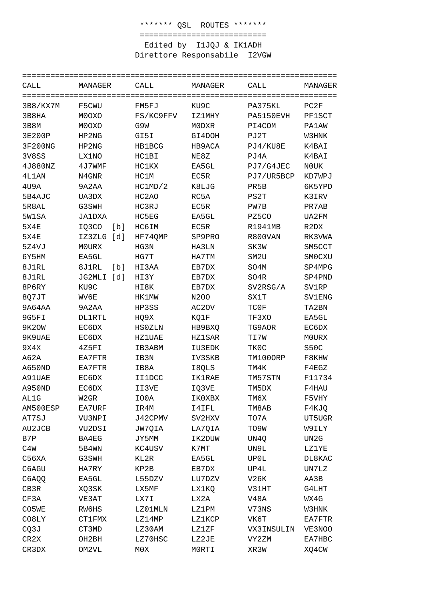\*\*\*\*\*\*\* QSL ROUTES \*\*\*\*\*\*\* =========================== Edited by I1JQJ & IK1ADH Direttore Responsabile I2VGW

=================================================================== CALL MANAGER CALL MANAGER CALL MANAGER =================================================================== 3B8/KX7M F5CWU FM5FJ KU9C PA375KL PC2F 3B8HA M0OXO FS/KC9FFV IZ1MHY PA5150EVH PF1SCT 3B8M M0OXO G9W M0DXR PI4COM PA1AW 3E200P HP2NG GI5I GI4DOH PJ2T W3HNK 3F200NG HP2NG HB1BCG HB9ACA PJ4/KU8E K4BAI 3V8SS LX1NO HC1BI NE8Z PJ4A K4BAI 4J880NZ 4J7WMF HC1KX EA5GL PJ7/G4JEC N0UK 4L1AN N4GNR HC1M EC5R PJ7/UR5BCP KD7WPJ 4U9A 9A2AA HC1MD/2 K8LJG PR5B 6K5YPD 5B4AJC UA3DX HC2AO RC5A PS2T K3IRV 5R8AL G3SWH HC3RJ EC5R PW7B PR7AB 5W1SA JA1DXA HC5EG EA5GL PZ5CO UA2FM 5X4E IQ3CO [b] HC6IM EC5R R1941MB R2DX 5X4E IZ3ZLG [d] HF74QMP SP9PRO R800VAN RK3VWA 5Z4VJ M0URX HG3N HA3LN SK3W SM5CCT 6Y5HM EA5GL HG7T HA7TM SM2U SM0CXU 8J1RL 8J1RL [b] HI3AA EB7DX SO4M SP4MPG 8J1RL JG2MLI [d] HI3Y EB7DX SO4R SP4PND 8P6RY KU9C HI8K EB7DX SV2RSG/A SV1RP 8Q7JT WV6E HK1MW N2OO SX1T SV1ENG 9A64AA 9A2AA HP3SS AC2OV TC0F TA2BN 9G5FI DL1RTL HQ9X KQ1F TF3XO EA5GL 9K2OW EC6DX HS0ZLN HB9BXQ TG9AOR EC6DX 9K9UAE EC6DX HZ1UAE HZ1SAR TI7W M0URX 9X4X 4Z5FI IB3ABM IU3EDK TK0C S50C A62A EA7FTR IB3N IV3SKB TM100ORP F8KHW A650ND EA7FTR IB8A I8QLS TM4K F4EGZ A91UAE EC6DX II1DCC IK1RAE TM57STN F11734 A950ND EC6DX II3VE IQ3VE TM5DX F4HAU AL1G W2GR IO0A IK0XBX TM6X F5VHY AM500ESP EA7URF IR4M I4IFL TM8AB F4KJQ AT7SJ VU3NPI J42CPMV SV2HXV TO7A UT5UGR AU2JCB VU2DSI JW7QIA LA7QIA TO9W W9ILY B7P BA4EG JY5MM IK2DUW UN4Q UN2G C4W 5B4WN KC4USV K7MT UN9L LZ1YE C56XA G3SWH KL2R EA5GL UP0L DL8KAC C6AGU HA7RY KP2B EB7DX UP4L UN7LZ C6AQQ EA5GL L55DZV LU7DZV V26K AA3B CB3R XQ3SK LX5MF LX1KQ V31HT G4LHT CF3A VE3AT LX7I LX2A V48A WX4G CO5WE RW6HS LZ01MLN LZ1PM V73NS W3HNK CO8LY CT1FMX LZ14MP LZ1KCP VK6T EA7FTR CQ3J CT3MD LZ30AM LZ1ZF VX3INSULIN VE3NOO CR2X OH2BH LZ70HSC LZ2JE VY2ZM EA7HBC CR3DX OM2VL M0X M0RTI XR3W XQ4CW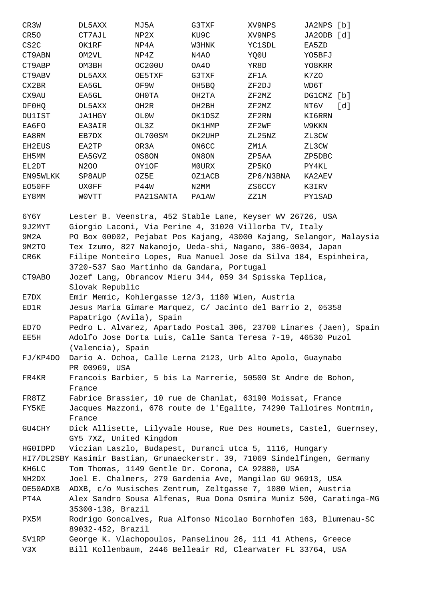| CR3W              | DL5AXX            | MJ5A      | G3TXF        | XV9NPS    | JA2NPS | [b]  |
|-------------------|-------------------|-----------|--------------|-----------|--------|------|
| CR <sub>50</sub>  | CT7AJL            | NP2X      | KU9C         | XV9NPS    | JA2ODB | rd 1 |
| CS <sub>2</sub> C | OK1RF             | NP4A      | W3HNK        | YC1SDL    | EA5ZD  |      |
| CT9ABN            | OM2VL             | NP4Z      | N4AO         | YQ0U      | YO5BFJ |      |
| CT9ABP            | OM3BH             | OC200U    | OA40         | YR8D      | YO8KRR |      |
| CT9ABV            | DL5AXX            | OE5TXF    | G3TXF        | ZF1A      | K7ZO   |      |
| CX2BR             | EA5GL             | OF9W      | OH5BQ        | ZF2DJ     | WD6T   |      |
| CX9AU             | EA5GL             | OH0TA     | OH2TA        | ZF2MZ     | DG1CMZ | [b]  |
| DF0HQ             | DL5AXX            | OH2R      | OH2BH        | ZF2MZ     | NT6V   | [d]  |
| DU1IST            | <b>JA1HGY</b>     | OL0W      | OK1DSZ       | ZF2RN     | KI6RRN |      |
| EA6FO             | EA3AIR            | OL3Z      | OK1HMP       | ZF2WF     | W9KKN  |      |
| EA8RM             | EB7DX             | OL700SM   | OK2UHP       | ZL25NZ    | ZL3CW  |      |
| EH2EUS            | EA2TP             | OR3A      | <b>ON6CC</b> | ZM1A      | ZL3CW  |      |
| EH5MM             | EA5GVZ            | OS8ON     | ON8ON        | ZP5AA     | ZP5DBC |      |
| EL2DT             | N <sub>2</sub> 00 | OY1OF     | M0URX        | ZP5KO     | PY4KL  |      |
| EN95WLKK          | SP8AUP            | OZ5E      | OZ1ACB       | ZP6/N3BNA | KA2AEV |      |
| EO50FF            | UX0FF             | P44W      | N2MM         | ZS6CCY    | K3IRV  |      |
| EY8MM             | WOVTT             | PA21SANTA | PA1AW        | ZZ1M      | PY1SAD |      |
|                   |                   |           |              |           |        |      |

6Y6Y Lester B. Veenstra, 452 Stable Lane, Keyser WV 26726, USA 9J2MYT Giorgio Laconi, Via Perine 4, 31020 Villorba TV, Italy 9M2A PO Box 00002, Pejabat Pos Kajang, 43000 Kajang, Selangor, Malaysia 9M2TO Tex Izumo, 827 Nakanojo, Ueda-shi, Nagano, 386-0034, Japan CR6K Filipe Monteiro Lopes, Rua Manuel Jose da Silva 184, Espinheira, 3720-537 Sao Martinho da Gandara, Portugal CT9ABO Jozef Lang, Obrancov Mieru 344, 059 34 Spisska Teplica, Slovak Republic

E7DX Emir Memic, Kohlergasse 12/3, 1180 Wien, Austria

ED1R Jesus Maria Gimare Marquez, C/ Jacinto del Barrio 2, 05358 Papatrigo (Avila), Spain

ED7O Pedro L. Alvarez, Apartado Postal 306, 23700 Linares (Jaen), Spain EE5H Adolfo Jose Dorta Luis, Calle Santa Teresa 7-19, 46530 Puzol (Valencia), Spain

FJ/KP4DO Dario A. Ochoa, Calle Lerna 2123, Urb Alto Apolo, Guaynabo PR 00969, USA

FR4KR Francois Barbier, 5 bis La Marrerie, 50500 St Andre de Bohon, France

FR8TZ Fabrice Brassier, 10 rue de Chanlat, 63190 Moissat, France FY5KE Jacques Mazzoni, 678 route de l'Egalite, 74290 Talloires Montmin, France

GU4CHY Dick Allisette, Lilyvale House, Rue Des Houmets, Castel, Guernsey, GY5 7XZ, United Kingdom

HG0IDPD Viczian Laszlo, Budapest, Duranci utca 5, 1116, Hungary

HI7/DL2SBY Kasimir Bastian, Grunaeckerstr. 39, 71069 Sindelfingen, Germany KH6LC Tom Thomas, 1149 Gentle Dr. Corona, CA 92880, USA

NH2DX Joel E. Chalmers, 279 Gardenia Ave, Mangilao GU 96913, USA

OE50ADXB ADXB, c/o Musisches Zentrum, Zeltgasse 7, 1080 Wien, Austria

PT4A Alex Sandro Sousa Alfenas, Rua Dona Osmira Muniz 500, Caratinga-MG 35300-138, Brazil

PX5M Rodrigo Goncalves, Rua Alfonso Nicolao Bornhofen 163, Blumenau-SC 89032-452, Brazil

SV1RP George K. Vlachopoulos, Panselinou 26, 111 41 Athens, Greece V3X Bill Kollenbaum, 2446 Belleair Rd, Clearwater FL 33764, USA